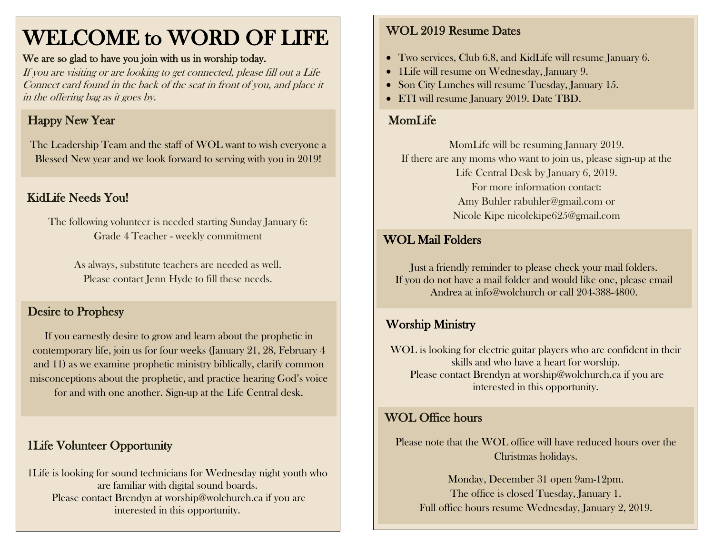# WELCOME to WORD OF LIFE

#### We are so glad to have you join with us in worship today.

If you are visiting or are looking to get connected, please fill out a Life Connect card found in the back of the seat in front of you, and place it in the offering bag as it goes by.

# Happy New Year

The Leadership Team and the staff of WOL want to wish everyone a Blessed New year and we look forward to serving with you in 2019!

# KidLife Needs You!

The following volunteer is needed starting Sunday January 6: Grade 4 Teacher - weekly commitment

As always, substitute teachers are needed as well. Please contact Jenn Hyde to fill these needs.

#### Desire to Prophesy

If you earnestly desire to grow and learn about the prophetic in contemporary life, join us for four weeks (January 21, 28, February 4 and 11) as we examine prophetic ministry biblically, clarify common misconceptions about the prophetic, and practice hearing God's voice for and with one another. Sign-up at the Life Central desk.

### 1Life Volunteer Opportunity

1Life is looking for sound technicians for Wednesday night youth who are familiar with digital sound boards. Please contact Brendyn at worship@wolchurch.ca if you are interested in this opportunity.

#### WOL 2019 Resume Dates

- Two services, Club 6.8, and KidLife will resume January 6.
- 1Life will resume on Wednesday, January 9.
- Son City Lunches will resume Tuesday, January 15.
- ETI will resume January 2019. Date TBD.

## MomLife

MomLife will be resuming January 2019. If there are any moms who want to join us, please sign-up at the Life Central Desk by January 6, 2019. For more information contact: Amy Buhler [rabuhler@gmail.com](mailto:rabuhler@gmail.com) or Nicole Kipe [nicolekipe625@gmail.com](mailto:nicolekipe625@gmail.com)

#### WOL Mail Folders

Just a friendly reminder to please check your mail folders. If you do not have a mail folder and would like one, please email Andrea at info@wolchurch or call 204-388-4800.

#### Worship Ministry

WOL is looking for electric guitar players who are confident in their skills and who have a heart for worship. Please contact Brendyn at worship@wolchurch.ca if you are interested in this opportunity.

#### WOL Office hours

Please note that the WOL office will have reduced hours over the Christmas holidays.

Monday, December 31 open 9am-12pm. The office is closed Tuesday, January 1. Full office hours resume Wednesday, January 2, 2019.